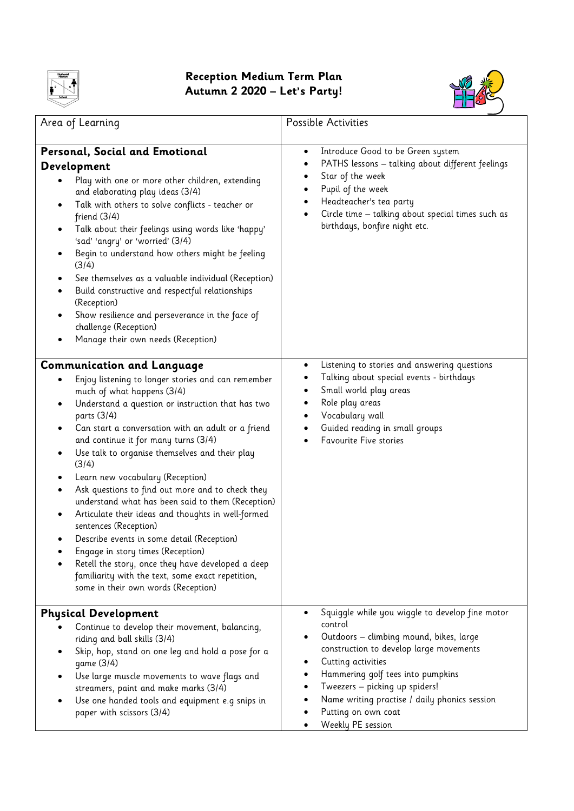

## **Reception Medium Term Plan Autumn 2 2020 – Let's Party!**



| Area of Learning                                                                                                                                                                                                                                                                                                                                                                                                                                                                                                                                                                                                                                                                                                                                                                                                                                                                    | Possible Activities                                                                                                                                                                                                                                                                                                                                               |
|-------------------------------------------------------------------------------------------------------------------------------------------------------------------------------------------------------------------------------------------------------------------------------------------------------------------------------------------------------------------------------------------------------------------------------------------------------------------------------------------------------------------------------------------------------------------------------------------------------------------------------------------------------------------------------------------------------------------------------------------------------------------------------------------------------------------------------------------------------------------------------------|-------------------------------------------------------------------------------------------------------------------------------------------------------------------------------------------------------------------------------------------------------------------------------------------------------------------------------------------------------------------|
| Personal, Social and Emotional<br>Development<br>Play with one or more other children, extending<br>and elaborating play ideas (3/4)<br>Talk with others to solve conflicts - teacher or<br>$\bullet$<br>friend $(3/4)$<br>Talk about their feelings using words like 'happy'<br>$\bullet$<br>'sad' 'angry' or 'worried' (3/4)<br>Begin to understand how others might be feeling<br>(3/4)<br>See themselves as a valuable individual (Reception)<br>٠<br>Build constructive and respectful relationships<br>$\bullet$<br>(Reception)<br>Show resilience and perseverance in the face of<br>challenge (Reception)<br>Manage their own needs (Reception)                                                                                                                                                                                                                             | Introduce Good to be Green system<br>٠<br>PATHS lessons - talking about different feelings<br>٠<br>Star of the week<br>٠<br>Pupil of the week<br>$\bullet$<br>Headteacher's tea party<br>$\bullet$<br>Circle time - talking about special times such as<br>birthdays, bonfire night etc.                                                                          |
| <b>Communication and Language</b><br>Enjoy listening to longer stories and can remember<br>much of what happens (3/4)<br>Understand a question or instruction that has two<br>$\bullet$<br>parts (3/4)<br>Can start a conversation with an adult or a friend<br>and continue it for many turns (3/4)<br>Use talk to organise themselves and their play<br>(3/4)<br>Learn new vocabulary (Reception)<br>$\bullet$<br>Ask questions to find out more and to check they<br>$\bullet$<br>understand what has been said to them (Reception)<br>Articulate their ideas and thoughts in well-formed<br>$\bullet$<br>sentences (Reception)<br>Describe events in some detail (Reception)<br>$\bullet$<br>Engage in story times (Reception)<br>Retell the story, once they have developed a deep<br>familiarity with the text, some exact repetition,<br>some in their own words (Reception) | Listening to stories and answering questions<br>٠<br>Talking about special events - birthdays<br>Small world play areas<br>Role play areas<br>٠<br>Vocabulary wall<br>٠<br>Guided reading in small groups<br>٠<br>Favourite Five stories                                                                                                                          |
| <b>Physical Development</b><br>Continue to develop their movement, balancing,<br>riding and ball skills (3/4)<br>Skip, hop, stand on one leg and hold a pose for a<br>game (3/4)<br>Use large muscle movements to wave flags and<br>streamers, paint and make marks (3/4)<br>Use one handed tools and equipment e.g snips in<br>paper with scissors (3/4)                                                                                                                                                                                                                                                                                                                                                                                                                                                                                                                           | Squiggle while you wiggle to develop fine motor<br>$\bullet$<br>control<br>Outdoors - climbing mound, bikes, large<br>construction to develop large movements<br>Cutting activities<br>٠<br>Hammering golf tees into pumpkins<br>Tweezers - picking up spiders!<br>٠<br>Name writing practise / daily phonics session<br>Putting on own coat<br>Weekly PE session |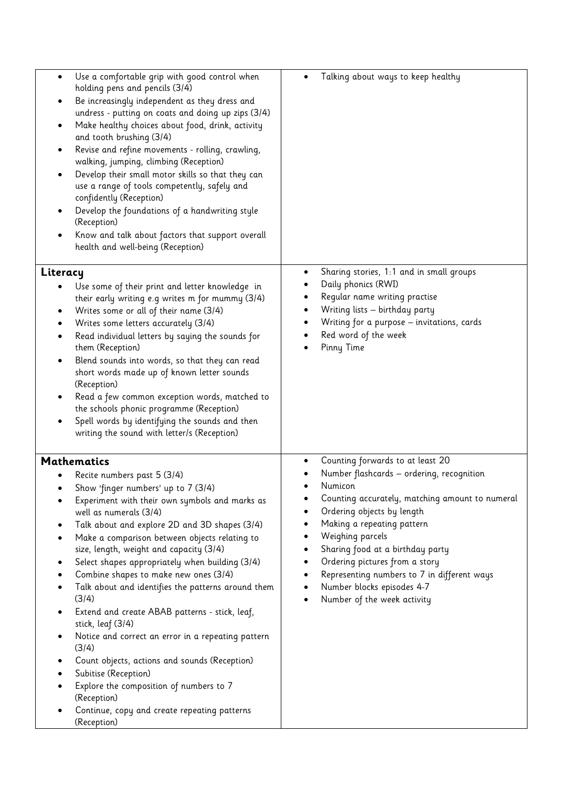| Use a comfortable grip with good control when<br>$\bullet$<br>holding pens and pencils (3/4)<br>Be increasingly independent as they dress and<br>undress - putting on coats and doing up zips (3/4)<br>Make healthy choices about food, drink, activity<br>and tooth brushing (3/4)<br>Revise and refine movements - rolling, crawling,<br>walking, jumping, climbing (Reception)<br>Develop their small motor skills so that they can<br>use a range of tools competently, safely and<br>confidently (Reception)<br>Develop the foundations of a handwriting style<br>(Reception)<br>Know and talk about factors that support overall<br>health and well-being (Reception)                                                                                                                                          | Talking about ways to keep healthy<br>$\bullet$                                                                                                                                                                                                                                                                                                                                                                    |
|----------------------------------------------------------------------------------------------------------------------------------------------------------------------------------------------------------------------------------------------------------------------------------------------------------------------------------------------------------------------------------------------------------------------------------------------------------------------------------------------------------------------------------------------------------------------------------------------------------------------------------------------------------------------------------------------------------------------------------------------------------------------------------------------------------------------|--------------------------------------------------------------------------------------------------------------------------------------------------------------------------------------------------------------------------------------------------------------------------------------------------------------------------------------------------------------------------------------------------------------------|
| Literacy<br>Use some of their print and letter knowledge in<br>their early writing e.g writes m for mummy (3/4)<br>Writes some or all of their name (3/4)<br>Writes some letters accurately (3/4)<br>Read individual letters by saying the sounds for<br>them (Reception)<br>Blend sounds into words, so that they can read<br>short words made up of known letter sounds<br>(Reception)<br>Read a few common exception words, matched to<br>the schools phonic programme (Reception)<br>Spell words by identifying the sounds and then<br>writing the sound with letter/s (Reception)                                                                                                                                                                                                                               | Sharing stories, 1:1 and in small groups<br>٠<br>Daily phonics (RWI)<br>Regular name writing practise<br>Writing lists - birthday party<br>Writing for a purpose - invitations, cards<br>Red word of the week<br>Pinny Time                                                                                                                                                                                        |
| <b>Mathematics</b><br>Recite numbers past 5 (3/4)<br>Show 'finger numbers' up to 7 (3/4)<br>Experiment with their own symbols and marks as<br>well as numerals (3/4)<br>Talk about and explore 2D and 3D shapes (3/4)<br>Make a comparison between objects relating to<br>size, length, weight and capacity (3/4)<br>Select shapes appropriately when building (3/4)<br>Combine shapes to make new ones (3/4)<br>Talk about and identifies the patterns around them<br>(3/4)<br>Extend and create ABAB patterns - stick, leaf,<br>stick, leaf (3/4)<br>Notice and correct an error in a repeating pattern<br>(3/4)<br>Count objects, actions and sounds (Reception)<br>Subitise (Reception)<br>Explore the composition of numbers to 7<br>(Reception)<br>Continue, copy and create repeating patterns<br>(Reception) | Counting forwards to at least 20<br>٠<br>Number flashcards - ordering, recognition<br>Numicon<br>Counting accurately, matching amount to numeral<br>Ordering objects by length<br>Making a repeating pattern<br>Weighing parcels<br>Sharing food at a birthday party<br>Ordering pictures from a story<br>Representing numbers to 7 in different ways<br>Number blocks episodes 4-7<br>Number of the week activity |